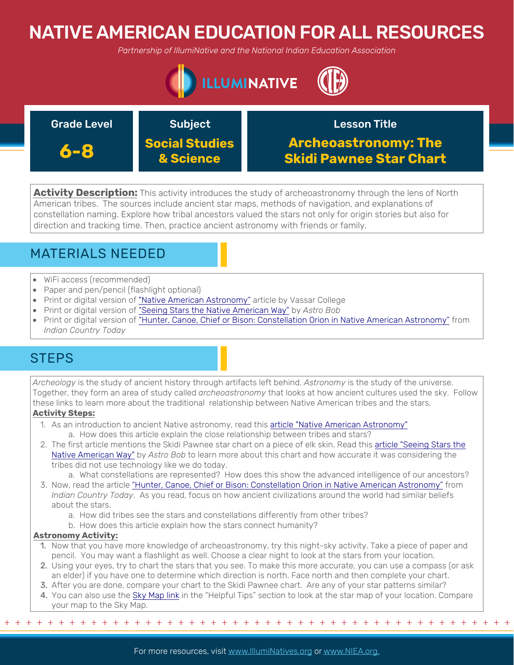# NATIVE AMERICAN EDUCATION FOR ALL RESOURCES

*Partnership of IllumiNative and the National Indian Education Association*



#### Grade Level **Subject 6-8 Social Studies & Science** Lesson Title **Archeoastronomy: The Skidi Pawnee Star Chart**

**Activity Description:** This activity introduces the study of archeoastronomy through the lens of North American tribes. The sources include ancient star maps, methods of navigation, and explanations of constellation naming. Explore how tribal ancestors valued the stars not only for origin stories but also for direction and tracking time. Then, practice ancient astronomy with friends or family.

# MATERIALS NEEDED

- WiFi access (recommended)
- Paper and pen/pencil (flashlight optional)
- Print or digital version of ["Native American Astronomy"](https://pages.vassar.edu/realarchaeology/2019/11/24/native-american-astronomy-skidi-pawnee/%20) article by Vassar College
- Print or digital version of ["Seeing Stars the Native American Way"](https://astrobob.areavoices.com/2012/02/01/seeing-stars-the-american-indian-way/) by *Astro Bob*
- Print or digital version of ["Hunter, Canoe, Chief or Bison: Constellation Orion in Native American Astronomy"](https://
indiancountrytoday.com/archive/hunter-canoe-chief-or-bison-constellation-orion-in-native-american-astronomy-DaCiJOMdMU-Fue8ecdgpEw) from *Indian Country Today*

## **STEPS**

*Archeology* is the study of ancient history through artifacts left behind. *Astronomy* is the study of the universe. Together, they form an area of study called *archeoastronomy* that looks at how ancient cultures used the sky. Follow these links to learn more about the traditional relationship between Native American tribes and the stars.

### **Activity Steps:**

- 1. As an introduction to ancient Native astronomy, read this **[article "Native American Astronomy"](https://pages.vassar.edu/realarchaeology/2019/11/24/native-american-astronomy-skidi-pawnee/%20)** 
	- a. How does this article explain the close relationship between tribes and stars?
- 2. [The first article mentions the Skidi Pawnee star chart on a piece of elk skin. Read this article "Seeing Stars the](https://astrobob.areavoices.com/2012/02/01/seeing-stars-the-american-indian-way/) Native American Way" by *Astro Bob* to learn more about this chart and how accurate it was considering the tribes did not use technology like we do today.
	- a. What constellations are represented? How does this show the advanced intelligence of our ancestors?
- 3. Now, read the article ["Hunter, Canoe, Chief or Bison: Constellation Orion in Native American Astronomy"](https://indiancountrytoday.com/archive/hunter-canoe-chief-or-bison-constellation-orion-in-native-american-astronomy-DaCiJOMdMU-Fue8ecdgpEw) from *Indian Country Today*. As you read, focus on how ancient civilizations around the world had similar beliefs about the stars.
	- a. How did tribes see the stars and constellations differently from other tribes?
	- b. How does this article explain how the stars connect humanity?

#### **Astronomy Activity:**

- 1. Now that you have more knowledge of archeoastronomy, try this night-sky activity. Take a piece of paper and pencil. You may want a flashlight as well. Choose a clear night to look at the stars from your location.
- 2. Using your eyes, try to chart the stars that you see. To make this more accurate, you can use a compass (or ask an elder) if you have one to determine which direction is north. Face north and then complete your chart.
- 3. After you are done, compare your chart to the Skidi Pawnee chart. Are any of your star patterns similar?
- 4. You can also use the [Sky Map link](https://in-the-sky.org/skymap2.php) in the "Helpful Tips" section to look at the star map of your location. Compare your map to the Sky Map.

+ + + + + + + + + + + + + + + + + + + + + + + + + + + + + + + + + + + + + + + + + + + + + + + +